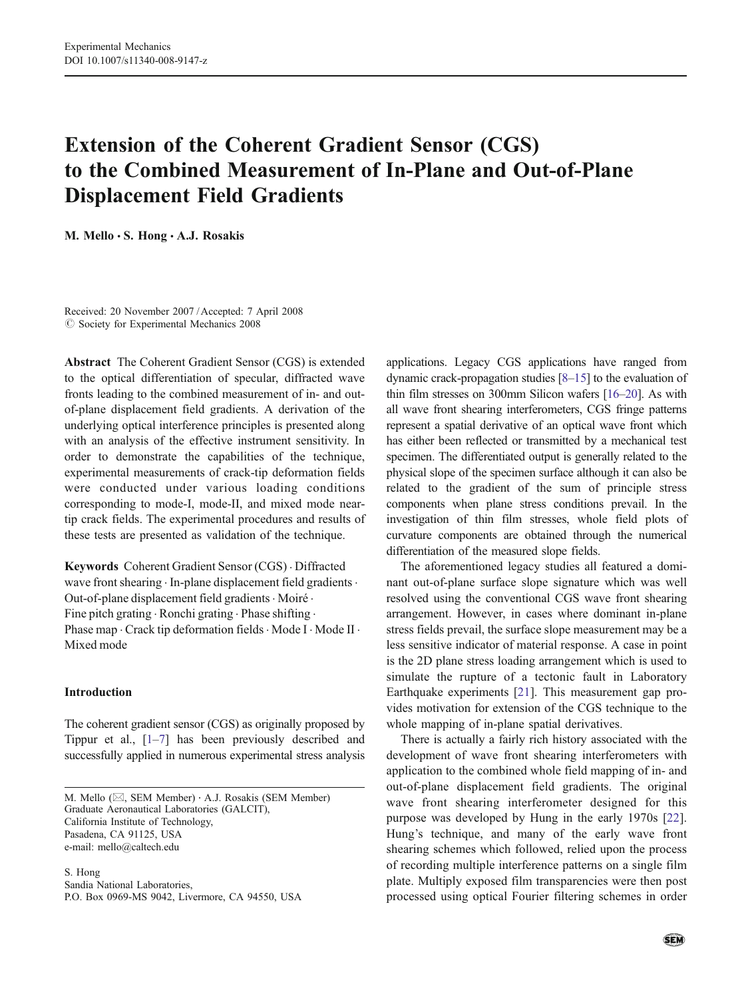# Extension of the Coherent Gradient Sensor (CGS) to the Combined Measurement of In-Plane and Out-of-Plane Displacement Field Gradients

M. Mello · S. Hong · A.J. Rosakis

Received: 20 November 2007 /Accepted: 7 April 2008  $\oslash$  Society for Experimental Mechanics 2008

Abstract The Coherent Gradient Sensor (CGS) is extended to the optical differentiation of specular, diffracted wave fronts leading to the combined measurement of in- and outof-plane displacement field gradients. A derivation of the underlying optical interference principles is presented along with an analysis of the effective instrument sensitivity. In order to demonstrate the capabilities of the technique, experimental measurements of crack-tip deformation fields were conducted under various loading conditions corresponding to mode-I, mode-II, and mixed mode neartip crack fields. The experimental procedures and results of these tests are presented as validation of the technique.

Keywords Coherent Gradient Sensor (CGS) . Diffracted wave front shearing . In-plane displacement field gradients. Out-of-plane displacement field gradients · Moiré · Fine pitch grating  $\cdot$  Ronchi grating  $\cdot$  Phase shifting  $\cdot$ Phase map . Crack tip deformation fields . Mode I . Mode II . Mixed mode

# Introduction

The coherent gradient sensor (CGS) as originally proposed by Tippur et al., [\[1](#page-11-0)–[7\]](#page-11-0) has been previously described and successfully applied in numerous experimental stress analysis

M. Mello (⊠, SEM Member) · A.J. Rosakis (SEM Member) Graduate Aeronautical Laboratories (GALCIT), California Institute of Technology, Pasadena, CA 91125, USA e-mail: mello@caltech.edu

S. Hong Sandia National Laboratories, P.O. Box 0969-MS 9042, Livermore, CA 94550, USA

applications. Legacy CGS applications have ranged from dynamic crack-propagation studies [\[8](#page-11-0)–[15\]](#page-11-0) to the evaluation of thin film stresses on 300mm Silicon wafers [\[16](#page-12-0)–[20](#page-12-0)]. As with all wave front shearing interferometers, CGS fringe patterns represent a spatial derivative of an optical wave front which has either been reflected or transmitted by a mechanical test specimen. The differentiated output is generally related to the physical slope of the specimen surface although it can also be related to the gradient of the sum of principle stress components when plane stress conditions prevail. In the investigation of thin film stresses, whole field plots of curvature components are obtained through the numerical differentiation of the measured slope fields.

The aforementioned legacy studies all featured a dominant out-of-plane surface slope signature which was well resolved using the conventional CGS wave front shearing arrangement. However, in cases where dominant in-plane stress fields prevail, the surface slope measurement may be a less sensitive indicator of material response. A case in point is the 2D plane stress loading arrangement which is used to simulate the rupture of a tectonic fault in Laboratory Earthquake experiments [\[21](#page-12-0)]. This measurement gap provides motivation for extension of the CGS technique to the whole mapping of in-plane spatial derivatives.

There is actually a fairly rich history associated with the development of wave front shearing interferometers with application to the combined whole field mapping of in- and out-of-plane displacement field gradients. The original wave front shearing interferometer designed for this purpose was developed by Hung in the early 1970s [\[22](#page-12-0)]. Hung's technique, and many of the early wave front shearing schemes which followed, relied upon the process of recording multiple interference patterns on a single film plate. Multiply exposed film transparencies were then post processed using optical Fourier filtering schemes in order

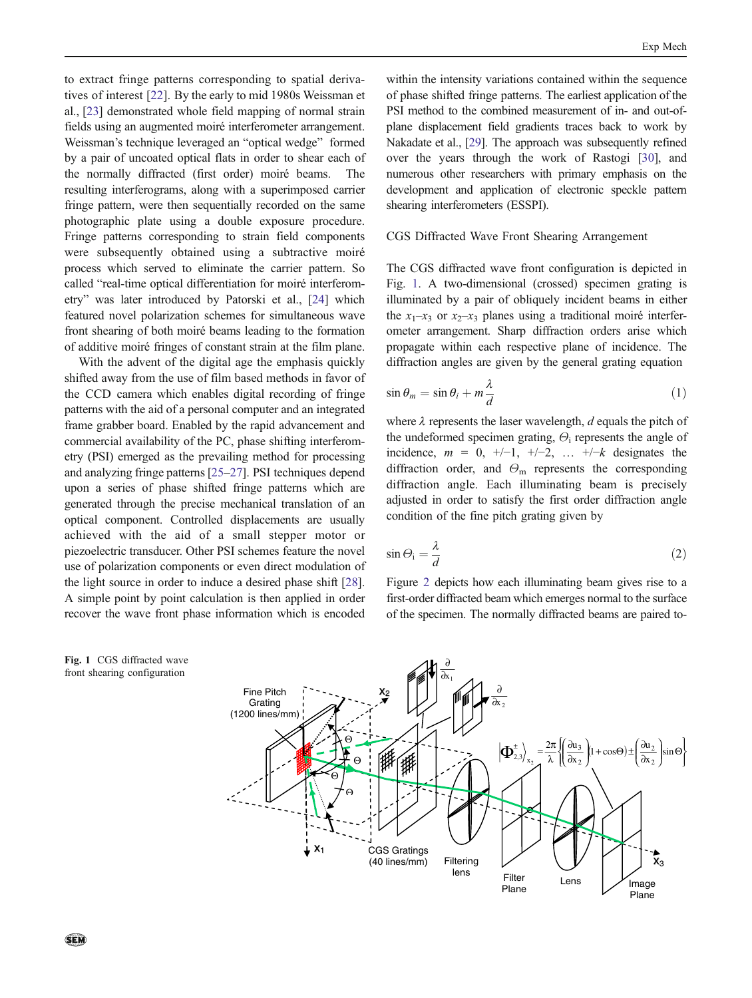<span id="page-1-0"></span>to extract fringe patterns corresponding to spatial derivatives of interest [\[22](#page-12-0)]. By the early to mid 1980s Weissman et al., [[23](#page-12-0)] demonstrated whole field mapping of normal strain fields using an augmented moiré interferometer arrangement. Weissman's technique leveraged an "optical wedge" formed by a pair of uncoated optical flats in order to shear each of the normally diffracted (first order) moiré beams. The resulting interferograms, along with a superimposed carrier fringe pattern, were then sequentially recorded on the same photographic plate using a double exposure procedure. Fringe patterns corresponding to strain field components were subsequently obtained using a subtractive moiré process which served to eliminate the carrier pattern. So called "real-time optical differentiation for moiré interferometry" was later introduced by Patorski et al., [\[24](#page-12-0)] which featured novel polarization schemes for simultaneous wave front shearing of both moiré beams leading to the formation of additive moiré fringes of constant strain at the film plane.

With the advent of the digital age the emphasis quickly shifted away from the use of film based methods in favor of the CCD camera which enables digital recording of fringe patterns with the aid of a personal computer and an integrated frame grabber board. Enabled by the rapid advancement and commercial availability of the PC, phase shifting interferometry (PSI) emerged as the prevailing method for processing and analyzing fringe patterns [[25](#page-12-0)–[27](#page-12-0)]. PSI techniques depend upon a series of phase shifted fringe patterns which are generated through the precise mechanical translation of an optical component. Controlled displacements are usually achieved with the aid of a small stepper motor or piezoelectric transducer. Other PSI schemes feature the novel use of polarization components or even direct modulation of the light source in order to induce a desired phase shift [[28\]](#page-12-0). A simple point by point calculation is then applied in order recover the wave front phase information which is encoded

within the intensity variations contained within the sequence of phase shifted fringe patterns. The earliest application of the PSI method to the combined measurement of in- and out-ofplane displacement field gradients traces back to work by Nakadate et al., [[29](#page-12-0)]. The approach was subsequently refined over the years through the work of Rastogi [\[30](#page-12-0)], and numerous other researchers with primary emphasis on the development and application of electronic speckle pattern shearing interferometers (ESSPI).

### CGS Diffracted Wave Front Shearing Arrangement

The CGS diffracted wave front configuration is depicted in Fig. 1. A two-dimensional (crossed) specimen grating is illuminated by a pair of obliquely incident beams in either the  $x_1-x_3$  or  $x_2-x_3$  planes using a traditional moiré interferometer arrangement. Sharp diffraction orders arise which propagate within each respective plane of incidence. The diffraction angles are given by the general grating equation

$$
\sin \theta_m = \sin \theta_i + m \frac{\lambda}{d} \tag{1}
$$

where  $\lambda$  represents the laser wavelength, d equals the pitch of the undeformed specimen grating,  $\Theta_i$  represents the angle of incidence,  $m = 0, +/-1, +/-2, \ldots +/-k$  designates the diffraction order, and  $\Theta_{\rm m}$  represents the corresponding diffraction angle. Each illuminating beam is precisely adjusted in order to satisfy the first order diffraction angle condition of the fine pitch grating given by

$$
\sin \Theta_{\rm i} = \frac{\lambda}{d} \tag{2}
$$

Figure [2](#page-2-0) depicts how each illuminating beam gives rise to a first-order diffracted beam which emerges normal to the surface of the specimen. The normally diffracted beams are paired to-



Fig. 1 CGS diffracted wave front shearing configuration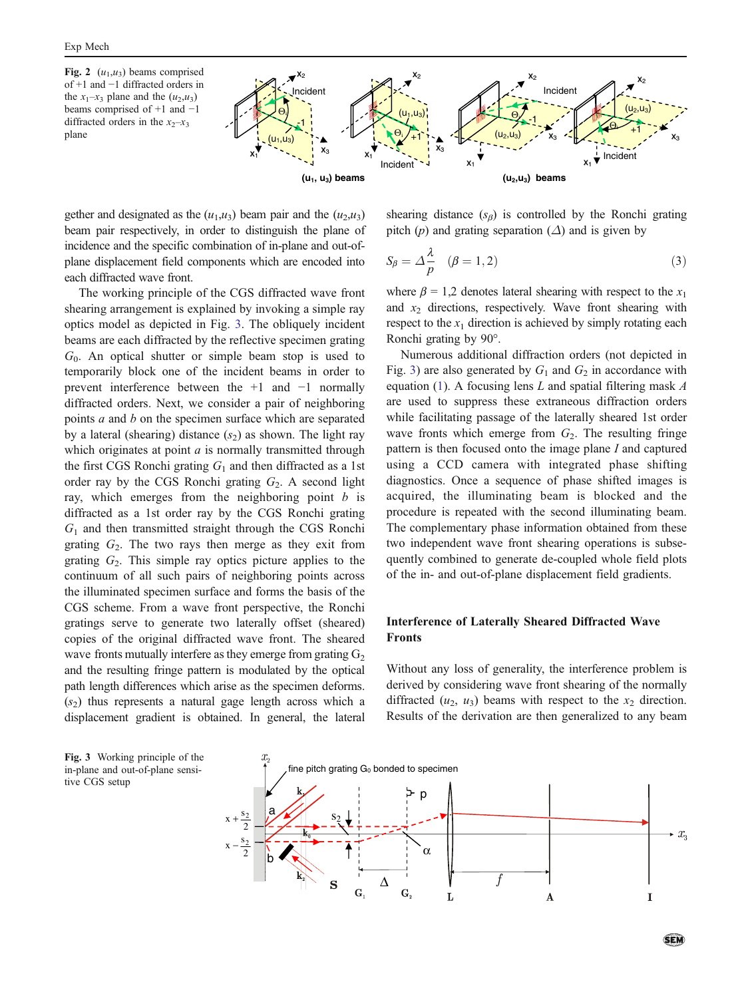<span id="page-2-0"></span>Fig. 2  $(u_1, u_3)$  beams comprised of +1 and −1 diffracted orders in the  $x_1-x_3$  plane and the  $(u_2,u_3)$ beams comprised of +1 and −1 diffracted orders in the  $x_2-x_3$ plane



gether and designated as the  $(u_1, u_3)$  beam pair and the  $(u_2, u_3)$ beam pair respectively, in order to distinguish the plane of incidence and the specific combination of in-plane and out-ofplane displacement field components which are encoded into each diffracted wave front.

The working principle of the CGS diffracted wave front shearing arrangement is explained by invoking a simple ray optics model as depicted in Fig. 3. The obliquely incident beams are each diffracted by the reflective specimen grating  $G<sub>0</sub>$ . An optical shutter or simple beam stop is used to temporarily block one of the incident beams in order to prevent interference between the +1 and −1 normally diffracted orders. Next, we consider a pair of neighboring points a and b on the specimen surface which are separated by a lateral (shearing) distance  $(s<sub>2</sub>)$  as shown. The light ray which originates at point  $a$  is normally transmitted through the first CGS Ronchi grating  $G_1$  and then diffracted as a 1st order ray by the CGS Ronchi grating  $G_2$ . A second light ray, which emerges from the neighboring point  $b$  is diffracted as a 1st order ray by the CGS Ronchi grating  $G_1$  and then transmitted straight through the CGS Ronchi grating  $G_2$ . The two rays then merge as they exit from grating  $G_2$ . This simple ray optics picture applies to the continuum of all such pairs of neighboring points across the illuminated specimen surface and forms the basis of the CGS scheme. From a wave front perspective, the Ronchi gratings serve to generate two laterally offset (sheared) copies of the original diffracted wave front. The sheared wave fronts mutually interfere as they emerge from grating  $G_2$ and the resulting fringe pattern is modulated by the optical path length differences which arise as the specimen deforms.  $(s<sub>2</sub>)$  thus represents a natural gage length across which a displacement gradient is obtained. In general, the lateral shearing distance  $(s_{\beta})$  is controlled by the Ronchi grating pitch (p) and grating separation ( $\Delta$ ) and is given by

$$
S_{\beta} = \Delta \frac{\lambda}{p} \quad (\beta = 1, 2) \tag{3}
$$

where  $\beta = 1,2$  denotes lateral shearing with respect to the  $x_1$ and  $x_2$  directions, respectively. Wave front shearing with respect to the  $x_1$  direction is achieved by simply rotating each Ronchi grating by 90°.

Numerous additional diffraction orders (not depicted in Fig. 3) are also generated by  $G_1$  and  $G_2$  in accordance with equation [\(1](#page-1-0)). A focusing lens  $L$  and spatial filtering mask  $A$ are used to suppress these extraneous diffraction orders while facilitating passage of the laterally sheared 1st order wave fronts which emerge from  $G_2$ . The resulting fringe pattern is then focused onto the image plane I and captured using a CCD camera with integrated phase shifting diagnostics. Once a sequence of phase shifted images is acquired, the illuminating beam is blocked and the procedure is repeated with the second illuminating beam. The complementary phase information obtained from these two independent wave front shearing operations is subsequently combined to generate de-coupled whole field plots of the in- and out-of-plane displacement field gradients.

# Interference of Laterally Sheared Diffracted Wave Fronts

Without any loss of generality, the interference problem is derived by considering wave front shearing of the normally diffracted  $(u_2, u_3)$  beams with respect to the  $x_2$  direction. Results of the derivation are then generalized to any beam



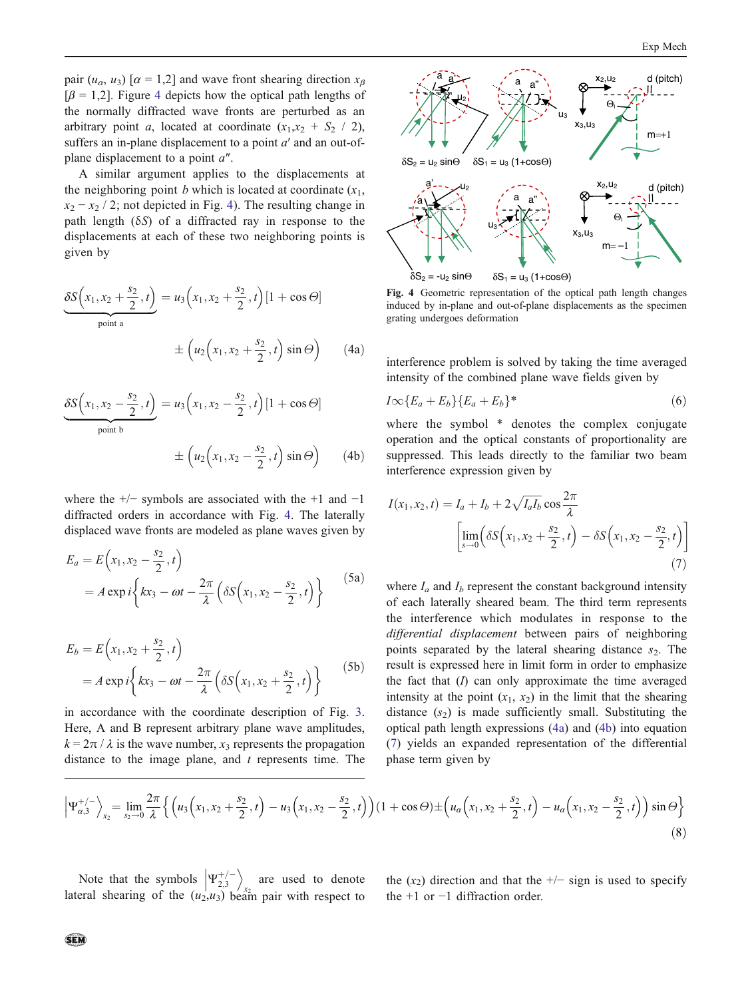pair  $(u_{\alpha}, u_{\beta})$  [ $\alpha = 1,2$ ] and wave front shearing direction  $x_{\beta}$  $[\beta = 1,2]$ . Figure 4 depicts how the optical path lengths of the normally diffracted wave fronts are perturbed as an arbitrary point a, located at coordinate  $(x_1, x_2 + S_2 / 2)$ , suffers an in-plane displacement to a point  $a'$  and an out-ofplane displacement to a point a″.

A similar argument applies to the displacements at the neighboring point b which is located at coordinate  $(x_1,$  $x_2 - x_2 / 2$ ; not depicted in Fig. 4). The resulting change in path length  $(\delta S)$  of a diffracted ray in response to the displacements at each of these two neighboring points is given by

$$
\underbrace{\delta S(x_1, x_2 + \frac{s_2}{2}, t)}_{\text{point a}} = u_3(x_1, x_2 + \frac{s_2}{2}, t) [1 + \cos \Theta] \\
\pm (u_2(x_1, x_2 + \frac{s_2}{2}, t) \sin \Theta) \qquad (4a)
$$

$$
\underbrace{\delta S(x_1, x_2 - \frac{s_2}{2}, t)}_{\text{point b}} = u_3(x_1, x_2 - \frac{s_2}{2}, t) [1 + \cos \Theta] \\
\pm (u_2(x_1, x_2 - \frac{s_2}{2}, t) \sin \Theta) \qquad (4b)
$$

where the  $+/-$  symbols are associated with the  $+1$  and  $-1$ diffracted orders in accordance with Fig. 4. The laterally displaced wave fronts are modeled as plane waves given by

$$
E_a = E(x_1, x_2 - \frac{s_2}{2}, t)
$$
  
=  $A \exp i \left\{ kx_3 - \omega t - \frac{2\pi}{\lambda} \left( \delta S(x_1, x_2 - \frac{s_2}{2}, t) \right) \right\}$  (5a)

$$
E_b = E(x_1, x_2 + \frac{s_2}{2}, t)
$$
  
=  $A \exp i \left\{ kx_3 - \omega t - \frac{2\pi}{\lambda} \left( \delta S(x_1, x_2 + \frac{s_2}{2}, t) \right) \right\}$  (5b)

in accordance with the coordinate description of Fig. [3.](#page-2-0) Here, A and B represent arbitrary plane wave amplitudes,  $k = 2\pi / \lambda$  is the wave number,  $x_3$  represents the propagation distance to the image plane, and  $t$  represents time. The



Fig. 4 Geometric representation of the optical path length changes induced by in-plane and out-of-plane displacements as the specimen grating undergoes deformation

interference problem is solved by taking the time averaged intensity of the combined plane wave fields given by

$$
I\infty\{E_a + E_b\}\{E_a + E_b\}^*
$$
\n<sup>(6)</sup>

where the symbol  $*$  denotes the complex conjugate operation and the optical constants of proportionality are suppressed. This leads directly to the familiar two beam interference expression given by

$$
I(x_1, x_2, t) = I_a + I_b + 2\sqrt{I_a I_b} \cos \frac{2\pi}{\lambda}
$$

$$
\left[ \lim_{s \to 0} \left( \delta S(x_1, x_2 + \frac{s_2}{2}, t) - \delta S(x_1, x_2 - \frac{s_2}{2}, t) \right) \right]
$$

$$
(7)
$$

where  $I_a$  and  $I_b$  represent the constant background intensity of each laterally sheared beam. The third term represents the interference which modulates in response to the differential displacement between pairs of neighboring points separated by the lateral shearing distance  $s_2$ . The result is expressed here in limit form in order to emphasize the fact that  $(I)$  can only approximate the time averaged intensity at the point  $(x_1, x_2)$  in the limit that the shearing distance  $(s_2)$  is made sufficiently small. Substituting the optical path length expressions (4a) and (4b) into equation (7) yields an expanded representation of the differential phase term given by

$$
\left|\Psi_{\alpha,3}^{+/-}\right\rangle_{x_2} = \lim_{s_2 \to 0} \frac{2\pi}{\lambda} \left\{ \left(u_3\left(x_1, x_2 + \frac{s_2}{2}, t\right) - u_3\left(x_1, x_2 - \frac{s_2}{2}, t\right)\right) (1 + \cos\Theta) \pm \left(u_\alpha\left(x_1, x_2 + \frac{s_2}{2}, t\right) - u_\alpha\left(x_1, x_2 - \frac{s_2}{2}, t\right)\right) \sin\Theta \right\}
$$
(8)

Note that the symbols  $\left|\Psi_{2,3}^{+}\right|$  $\setminus$ are used to denote lateral shearing of the  $(u_2, u_3)$  beam pair with respect to

the  $(x_2)$  direction and that the  $+/-$  sign is used to specify the +1 or −1 diffraction order.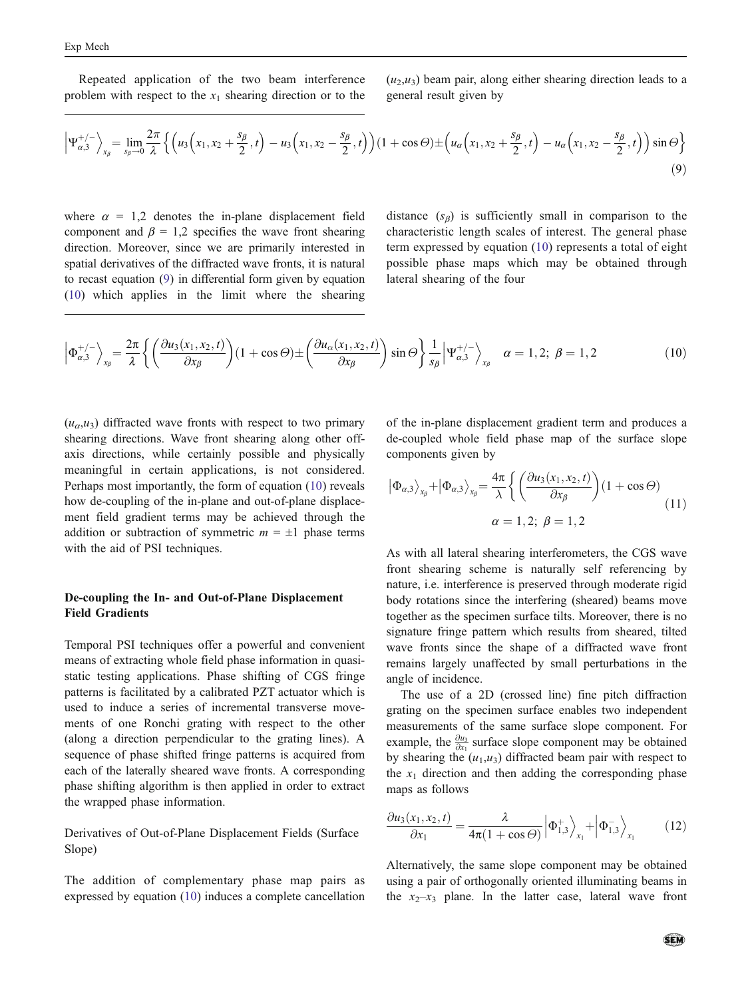<span id="page-4-0"></span>Repeated application of the two beam interference problem with respect to the  $x_1$  shearing direction or to the  $(u_2, u_3)$  beam pair, along either shearing direction leads to a general result given by

$$
\left|\Psi_{\alpha,3}^{+/-}\right\rangle_{x_{\beta}} = \lim_{s_{\beta}\to 0} \frac{2\pi}{\lambda} \left\{ \left(u_3\left(x_1, x_2 + \frac{s_{\beta}}{2}, t\right) - u_3\left(x_1, x_2 - \frac{s_{\beta}}{2}, t\right)\right) (1 + \cos\Theta) \pm \left(u_{\alpha}\left(x_1, x_2 + \frac{s_{\beta}}{2}, t\right) - u_{\alpha}\left(x_1, x_2 - \frac{s_{\beta}}{2}, t\right)\right) \sin\Theta \right\}
$$
(9)

where  $\alpha = 1.2$  denotes the in-plane displacement field component and  $\beta = 1,2$  specifies the wave front shearing direction. Moreover, since we are primarily interested in spatial derivatives of the diffracted wave fronts, it is natural to recast equation (9) in differential form given by equation (10) which applies in the limit where the shearing

distance  $(s_\beta)$  is sufficiently small in comparison to the characteristic length scales of interest. The general phase term expressed by equation (10) represents a total of eight possible phase maps which may be obtained through lateral shearing of the four

$$
\left| \Phi_{\alpha,3}^{+/-} \right\rangle_{x_{\beta}} = \frac{2\pi}{\lambda} \left\{ \left( \frac{\partial u_3(x_1, x_2, t)}{\partial x_{\beta}} \right) (1 + \cos \Theta) \pm \left( \frac{\partial u_{\alpha}(x_1, x_2, t)}{\partial x_{\beta}} \right) \sin \Theta \right\} \frac{1}{s_{\beta}} \left| \Psi_{\alpha,3}^{+/-} \right\rangle_{x_{\beta}} \quad \alpha = 1, 2; \ \beta = 1, 2 \tag{10}
$$

 $\Big\}$ 

 $(u_{\alpha},u_{\beta})$  diffracted wave fronts with respect to two primary shearing directions. Wave front shearing along other offaxis directions, while certainly possible and physically meaningful in certain applications, is not considered. Perhaps most importantly, the form of equation (10) reveals how de-coupling of the in-plane and out-of-plane displacement field gradient terms may be achieved through the addition or subtraction of symmetric  $m = \pm 1$  phase terms with the aid of PSI techniques.

# De-coupling the In- and Out-of-Plane Displacement Field Gradients

Temporal PSI techniques offer a powerful and convenient means of extracting whole field phase information in quasistatic testing applications. Phase shifting of CGS fringe patterns is facilitated by a calibrated PZT actuator which is used to induce a series of incremental transverse movements of one Ronchi grating with respect to the other (along a direction perpendicular to the grating lines). A sequence of phase shifted fringe patterns is acquired from each of the laterally sheared wave fronts. A corresponding phase shifting algorithm is then applied in order to extract the wrapped phase information.

Derivatives of Out-of-Plane Displacement Fields (Surface Slope)

The addition of complementary phase map pairs as expressed by equation (10) induces a complete cancellation of the in-plane displacement gradient term and produces a de-coupled whole field phase map of the surface slope components given by

$$
|\Phi_{\alpha,3}\rangle_{x_{\beta}} + |\Phi_{\alpha,3}\rangle_{x_{\beta}} = \frac{4\pi}{\lambda} \left\{ \left( \frac{\partial u_3(x_1, x_2, t)}{\partial x_{\beta}} \right) (1 + \cos \Theta) \right\}
$$
  

$$
\alpha = 1, 2; \ \beta = 1, 2
$$
 (11)

As with all lateral shearing interferometers, the CGS wave front shearing scheme is naturally self referencing by nature, i.e. interference is preserved through moderate rigid body rotations since the interfering (sheared) beams move together as the specimen surface tilts. Moreover, there is no signature fringe pattern which results from sheared, tilted wave fronts since the shape of a diffracted wave front remains largely unaffected by small perturbations in the angle of incidence.

The use of a 2D (crossed line) fine pitch diffraction grating on the specimen surface enables two independent measurements of the same surface slope component. For example, the  $\frac{\partial u_3}{\partial x_1}$  surface slope component may be obtained by shearing the  $(u_1, u_3)$  diffracted beam pair with respect to the  $x_1$  direction and then adding the corresponding phase maps as follows

$$
\frac{\partial u_3(x_1, x_2, t)}{\partial x_1} = \frac{\lambda}{4\pi (1 + \cos \Theta)} \left| \Phi_{1,3}^+ \right\rangle_{x_1} + \left| \Phi_{1,3}^- \right\rangle_{x_1} \tag{12}
$$

Alternatively, the same slope component may be obtained using a pair of orthogonally oriented illuminating beams in the  $x_2-x_3$  plane. In the latter case, lateral wave front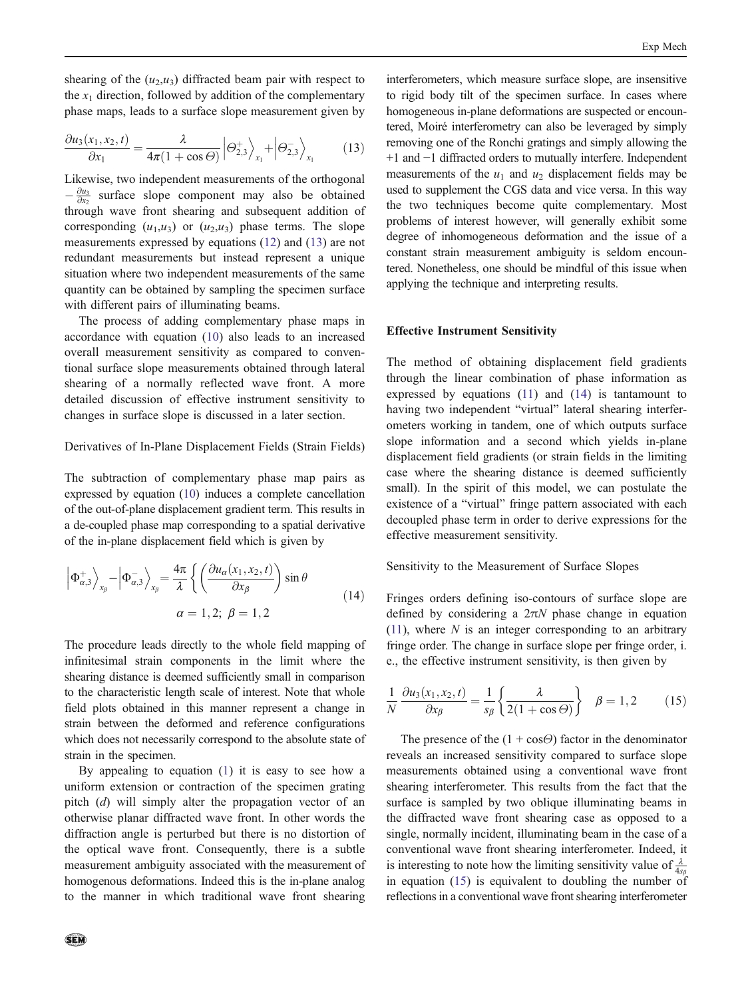<span id="page-5-0"></span>shearing of the  $(u_2, u_3)$  diffracted beam pair with respect to the  $x_1$  direction, followed by addition of the complementary phase maps, leads to a surface slope measurement given by

$$
\frac{\partial u_3(x_1, x_2, t)}{\partial x_1} = \frac{\lambda}{4\pi (1 + \cos \Theta)} \left| \Theta_{2,3}^+ \right\rangle_{x_1} + \left| \Theta_{2,3}^- \right\rangle_{x_1} \tag{13}
$$

Likewise, two independent measurements of the orthogonal  $-\frac{\partial u_3}{\partial x_2}$  surface slope component may also be obtained through wave front shearing and subsequent addition of corresponding  $(u_1, u_3)$  or  $(u_2, u_3)$  phase terms. The slope measurements expressed by equations [\(12](#page-4-0)) and (13) are not redundant measurements but instead represent a unique situation where two independent measurements of the same quantity can be obtained by sampling the specimen surface with different pairs of illuminating beams.

The process of adding complementary phase maps in accordance with equation ([10](#page-4-0)) also leads to an increased overall measurement sensitivity as compared to conventional surface slope measurements obtained through lateral shearing of a normally reflected wave front. A more detailed discussion of effective instrument sensitivity to changes in surface slope is discussed in a later section.

# Derivatives of In-Plane Displacement Fields (Strain Fields)

The subtraction of complementary phase map pairs as expressed by equation [\(10\)](#page-4-0) induces a complete cancellation of the out-of-plane displacement gradient term. This results in a de-coupled phase map corresponding to a spatial derivative of the in-plane displacement field which is given by

$$
\left| \Phi_{\alpha,3}^+ \right\rangle_{x_\beta} - \left| \Phi_{\alpha,3}^- \right\rangle_{x_\beta} = \frac{4\pi}{\lambda} \left\{ \left( \frac{\partial u_\alpha(x_1, x_2, t)}{\partial x_\beta} \right) \sin \theta \right\}
$$
  

$$
\alpha = 1, 2; \ \beta = 1, 2 \tag{14}
$$

The procedure leads directly to the whole field mapping of infinitesimal strain components in the limit where the shearing distance is deemed sufficiently small in comparison to the characteristic length scale of interest. Note that whole field plots obtained in this manner represent a change in strain between the deformed and reference configurations which does not necessarily correspond to the absolute state of strain in the specimen.

By appealing to equation [\(1](#page-1-0)) it is easy to see how a uniform extension or contraction of the specimen grating pitch (d) will simply alter the propagation vector of an otherwise planar diffracted wave front. In other words the diffraction angle is perturbed but there is no distortion of the optical wave front. Consequently, there is a subtle measurement ambiguity associated with the measurement of homogenous deformations. Indeed this is the in-plane analog to the manner in which traditional wave front shearing

interferometers, which measure surface slope, are insensitive to rigid body tilt of the specimen surface. In cases where homogeneous in-plane deformations are suspected or encountered, Moiré interferometry can also be leveraged by simply removing one of the Ronchi gratings and simply allowing the +1 and −1 diffracted orders to mutually interfere. Independent measurements of the  $u_1$  and  $u_2$  displacement fields may be used to supplement the CGS data and vice versa. In this way the two techniques become quite complementary. Most problems of interest however, will generally exhibit some degree of inhomogeneous deformation and the issue of a constant strain measurement ambiguity is seldom encountered. Nonetheless, one should be mindful of this issue when applying the technique and interpreting results.

#### Effective Instrument Sensitivity

The method of obtaining displacement field gradients through the linear combination of phase information as expressed by equations [\(11](#page-4-0)) and (14) is tantamount to having two independent "virtual" lateral shearing interferometers working in tandem, one of which outputs surface slope information and a second which yields in-plane displacement field gradients (or strain fields in the limiting case where the shearing distance is deemed sufficiently small). In the spirit of this model, we can postulate the existence of a "virtual" fringe pattern associated with each decoupled phase term in order to derive expressions for the effective measurement sensitivity.

Sensitivity to the Measurement of Surface Slopes

Fringes orders defining iso-contours of surface slope are defined by considering a  $2\pi N$  phase change in equation  $(11)$  $(11)$ , where N is an integer corresponding to an arbitrary fringe order. The change in surface slope per fringe order, i. e., the effective instrument sensitivity, is then given by

$$
\frac{1}{N} \frac{\partial u_3(x_1, x_2, t)}{\partial x_{\beta}} = \frac{1}{s_{\beta}} \left\{ \frac{\lambda}{2(1 + \cos \Theta)} \right\} \quad \beta = 1, 2 \quad (15)
$$

The presence of the  $(1 + \cos \Theta)$  factor in the denominator reveals an increased sensitivity compared to surface slope measurements obtained using a conventional wave front shearing interferometer. This results from the fact that the surface is sampled by two oblique illuminating beams in the diffracted wave front shearing case as opposed to a single, normally incident, illuminating beam in the case of a conventional wave front shearing interferometer. Indeed, it is interesting to note how the limiting sensitivity value of  $\frac{\lambda}{4s_k}$ in equation (15) is equivalent to doubling the number of reflections in a conventional wave front shearing interferometer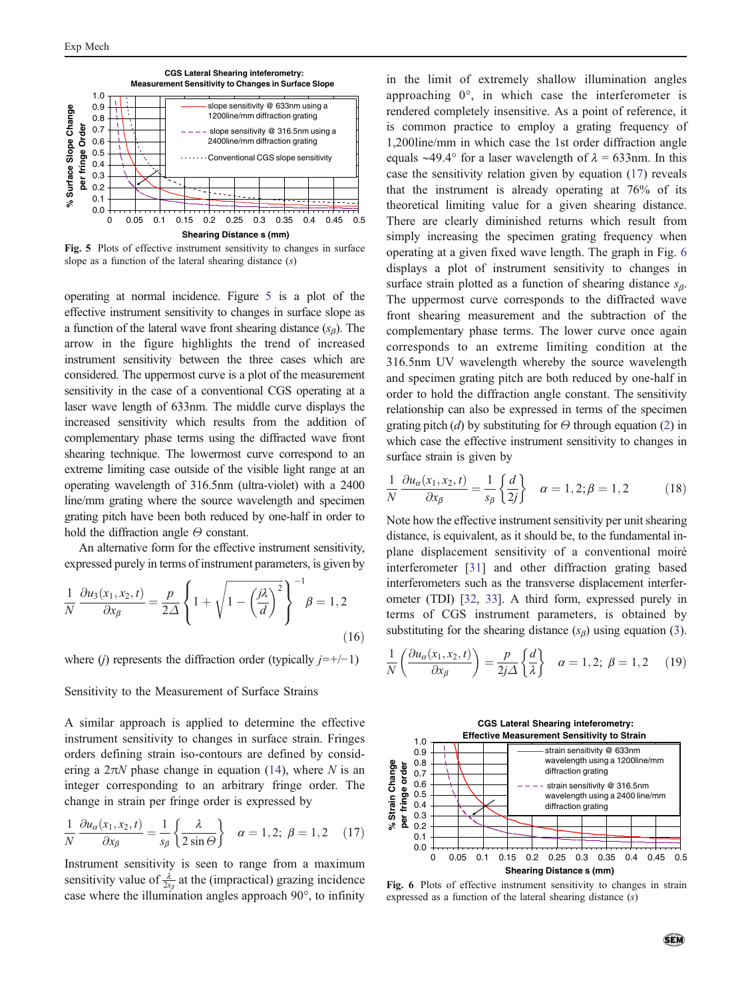

Fig. 5 Plots of effective instrument sensitivity to changes in surface slope as a function of the lateral shearing distance  $(s)$ 

operating at normal incidence. Figure 5 is a plot of the effective instrument sensitivity to changes in surface slope as a function of the lateral wave front shearing distance  $(s_\beta)$ . The arrow in the figure highlights the trend of increased instrument sensitivity between the three cases which are considered. The uppermost curve is a plot of the measurement sensitivity in the case of a conventional CGS operating at a laser wave length of 633nm. The middle curve displays the increased sensitivity which results from the addition of complementary phase terms using the diffracted wave front shearing technique. The lowermost curve correspond to an extreme limiting case outside of the visible light range at an operating wavelength of 316.5nm (ultra-violet) with a 2400 line/mm grating where the source wavelength and specimen grating pitch have been both reduced by one-half in order to hold the diffraction angle  $\Theta$  constant.

An alternative form for the effective instrument sensitivity, expressed purely in terms of instrument parameters, is given by

$$
\frac{1}{N} \frac{\partial u_3(x_1, x_2, t)}{\partial x_\beta} = \frac{p}{2\Delta} \left\{ 1 + \sqrt{1 - \left(\frac{j\lambda}{d}\right)^2} \right\}^{-1} \beta = 1, 2
$$
\n(16)

where (j) represents the diffraction order (typically  $j=+/-1$ )

#### Sensitivity to the Measurement of Surface Strains

A similar approach is applied to determine the effective instrument sensitivity to changes in surface strain. Fringes orders defining strain iso-contours are defined by considering a  $2\pi N$  phase change in equation [\(14](#page-5-0)), where N is an integer corresponding to an arbitrary fringe order. The change in strain per fringe order is expressed by

$$
\frac{1}{N} \frac{\partial u_{\alpha}(x_1, x_2, t)}{\partial x_{\beta}} = \frac{1}{s_{\beta}} \left\{ \frac{\lambda}{2 \sin \Theta} \right\} \quad \alpha = 1, 2; \ \beta = 1, 2 \quad (17)
$$

Instrument sensitivity is seen to range from a maximum sensitivity value of  $\frac{\lambda}{2s_{\beta}}$  at the (impractical) grazing incidence case where the illumination angles approach 90°, to infinity in the limit of extremely shallow illumination angles approaching 0°, in which case the interferometer is rendered completely insensitive. As a point of reference, it is common practice to employ a grating frequency of 1,200line/mm in which case the 1st order diffraction angle equals ~49.4° for a laser wavelength of  $\lambda = 633$ nm. In this case the sensitivity relation given by equation (17) reveals that the instrument is already operating at 76% of its theoretical limiting value for a given shearing distance. There are clearly diminished returns which result from simply increasing the specimen grating frequency when operating at a given fixed wave length. The graph in Fig. 6 displays a plot of instrument sensitivity to changes in surface strain plotted as a function of shearing distance  $s_{\beta}$ . The uppermost curve corresponds to the diffracted wave front shearing measurement and the subtraction of the complementary phase terms. The lower curve once again corresponds to an extreme limiting condition at the 316.5nm UV wavelength whereby the source wavelength and specimen grating pitch are both reduced by one-half in order to hold the diffraction angle constant. The sensitivity relationship can also be expressed in terms of the specimen grating pitch (d) by substituting for  $\Theta$  through equation [\(2\)](#page-1-0) in which case the effective instrument sensitivity to changes in surface strain is given by

$$
\frac{1}{N}\frac{\partial u_{\alpha}(x_1, x_2, t)}{\partial x_{\beta}} = \frac{1}{s_{\beta}} \left\{ \frac{d}{2j} \right\} \quad \alpha = 1, 2; \beta = 1, 2 \tag{18}
$$

Note how the effective instrument sensitivity per unit shearing distance, is equivalent, as it should be, to the fundamental inplane displacement sensitivity of a conventional moiré interferometer [[31\]](#page-12-0) and other diffraction grating based interferometers such as the transverse displacement interferometer (TDI) [[32](#page-12-0), [33](#page-12-0)]. A third form, expressed purely in terms of CGS instrument parameters, is obtained by substituting for the shearing distance  $(s_\beta)$  using equation ([3\)](#page-2-0).

$$
\frac{1}{N} \left( \frac{\partial u_a(x_1, x_2, t)}{\partial x_{\beta}} \right) = \frac{p}{2j\Delta} \left\{ \frac{d}{\lambda} \right\} \quad \alpha = 1, 2; \ \beta = 1, 2 \quad (19)
$$



Fig. 6 Plots of effective instrument sensitivity to changes in strain expressed as a function of the lateral shearing distance (s)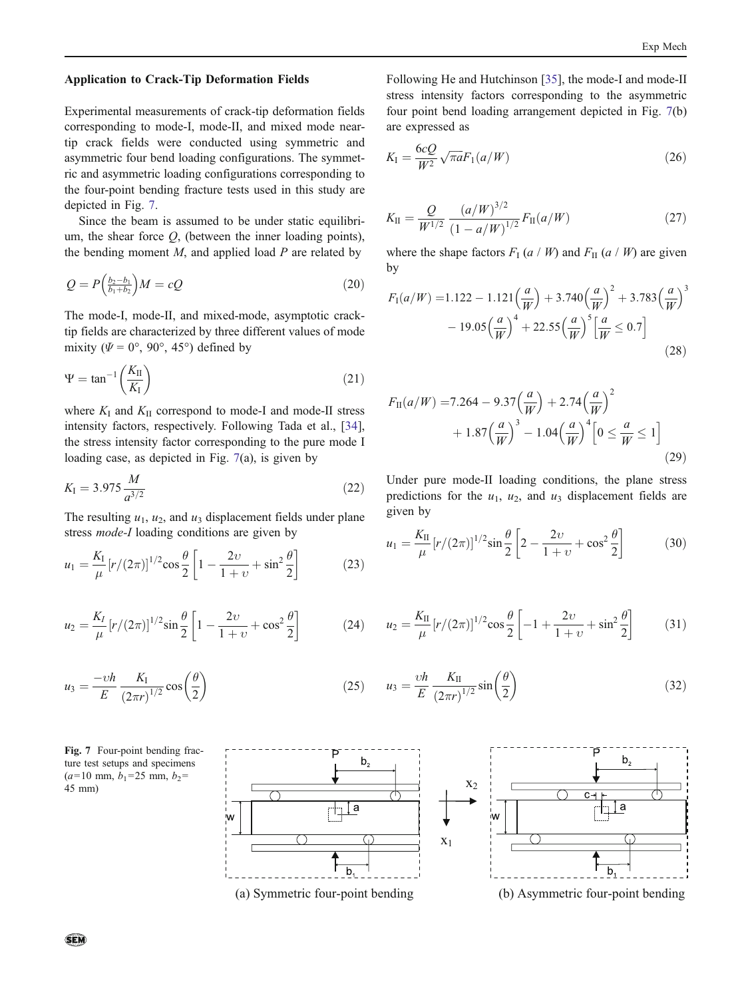#### <span id="page-7-0"></span>Application to Crack-Tip Deformation Fields

Experimental measurements of crack-tip deformation fields corresponding to mode-I, mode-II, and mixed mode neartip crack fields were conducted using symmetric and asymmetric four bend loading configurations. The symmetric and asymmetric loading configurations corresponding to the four-point bending fracture tests used in this study are depicted in Fig. 7.

Since the beam is assumed to be under static equilibrium, the shear force  $Q$ , (between the inner loading points), the bending moment  $M$ , and applied load  $P$  are related by

$$
Q = P\left(\frac{b_2 - b_1}{b_1 + b_2}\right)M = cQ\tag{20}
$$

The mode-I, mode-II, and mixed-mode, asymptotic cracktip fields are characterized by three different values of mode mixity ( $\Psi = 0^{\circ}$ , 90°, 45°) defined by

$$
\Psi = \tan^{-1}\left(\frac{K_{\rm II}}{K_{\rm I}}\right) \tag{21}
$$

where  $K_I$  and  $K_{II}$  correspond to mode-I and mode-II stress intensity factors, respectively. Following Tada et al., [\[34](#page-12-0)], the stress intensity factor corresponding to the pure mode I loading case, as depicted in Fig. 7(a), is given by

$$
K_{\rm I} = 3.975 \frac{M}{a^{3/2}} \tag{22}
$$

The resulting  $u_1$ ,  $u_2$ , and  $u_3$  displacement fields under plane stress mode-I loading conditions are given by

$$
u_1 = \frac{K_{\rm I}}{\mu} \left[ r/(2\pi) \right]^{1/2} \cos \frac{\theta}{2} \left[ 1 - \frac{2\upsilon}{1+\upsilon} + \sin^2 \frac{\theta}{2} \right] \tag{23}
$$

$$
u_2 = \frac{K_I}{\mu} [r/(2\pi)]^{1/2} \sin \frac{\theta}{2} \left[ 1 - \frac{2\upsilon}{1+\upsilon} + \cos^2 \frac{\theta}{2} \right]
$$
 (24)

$$
u_3 = \frac{-\upsilon h}{E} \frac{K_\mathrm{I}}{(2\pi r)^{1/2}} \cos\left(\frac{\theta}{2}\right) \tag{25}
$$

١٨



Following He and Hutchinson [[35\]](#page-12-0), the mode-I and mode-II stress intensity factors corresponding to the asymmetric four point bend loading arrangement depicted in Fig. 7(b) are expressed as

$$
K_{\rm I} = \frac{6cQ}{W^2} \sqrt{\pi a} F_1(a/W) \tag{26}
$$

$$
K_{\rm II} = \frac{Q}{W^{1/2}} \frac{(a/W)^{3/2}}{(1 - a/W)^{1/2}} F_{\rm II}(a/W) \tag{27}
$$

where the shape factors  $F_I(a \mid W)$  and  $F_{II}(a \mid W)$  are given by

$$
F_1(a/W) = 1.122 - 1.121 \left(\frac{a}{W}\right) + 3.740 \left(\frac{a}{W}\right)^2 + 3.783 \left(\frac{a}{W}\right)^3 - 19.05 \left(\frac{a}{W}\right)^4 + 22.55 \left(\frac{a}{W}\right)^5 \left[\frac{a}{W} \le 0.7\right]
$$
\n(28)

$$
F_{\text{II}}(a/W) = 7.264 - 9.37 \left(\frac{a}{W}\right) + 2.74 \left(\frac{a}{W}\right)^2 + 1.87 \left(\frac{a}{W}\right)^3 - 1.04 \left(\frac{a}{W}\right)^4 \left[0 \le \frac{a}{W} \le 1\right]
$$
\n(29)

Under pure mode-II loading conditions, the plane stress predictions for the  $u_1$ ,  $u_2$ , and  $u_3$  displacement fields are given by

$$
u_1 = \frac{K_{\rm II}}{\mu} [r/(2\pi)]^{1/2} \sin \frac{\theta}{2} \left[ 2 - \frac{2\upsilon}{1+\upsilon} + \cos^2 \frac{\theta}{2} \right]
$$
 (30)

$$
u_2 = \frac{K_{\rm II}}{\mu} \left[ r/(2\pi) \right]^{1/2} \cos \frac{\theta}{2} \left[ -1 + \frac{2\upsilon}{1+\upsilon} + \sin^2 \frac{\theta}{2} \right] \tag{31}
$$

$$
u_3 = \frac{\nu h}{E} \frac{K_{\rm II}}{(2\pi r)^{1/2}} \sin\left(\frac{\theta}{2}\right) \tag{32}
$$



sen,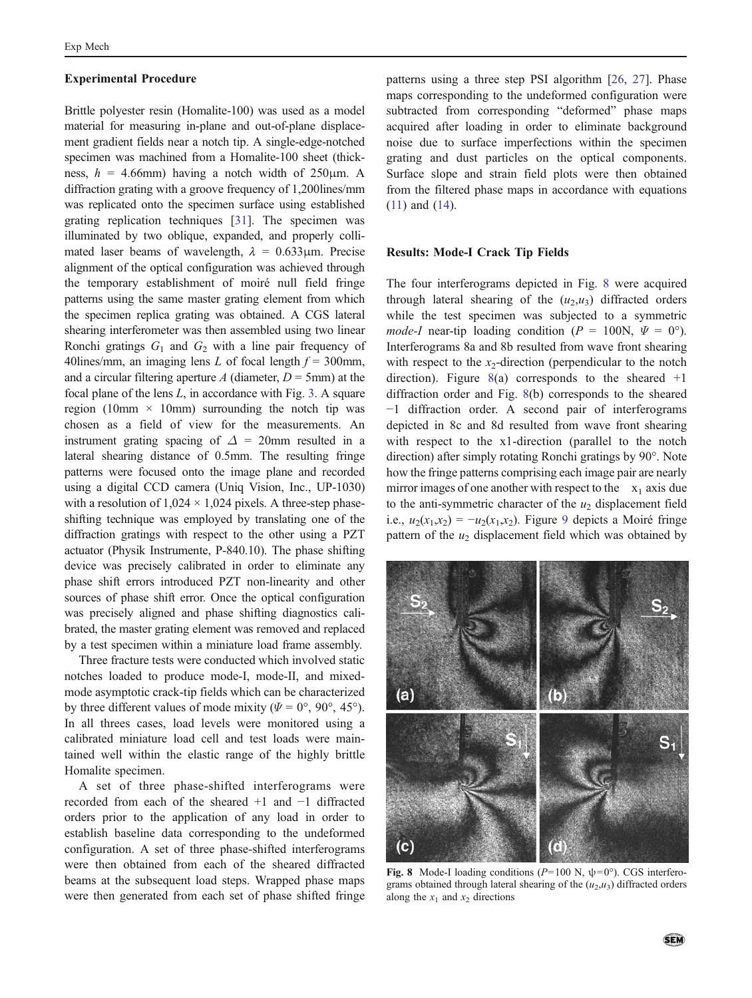#### <span id="page-8-0"></span>Experimental Procedure

Brittle polyester resin (Homalite-100) was used as a model material for measuring in-plane and out-of-plane displacement gradient fields near a notch tip. A single-edge-notched specimen was machined from a Homalite-100 sheet (thickness,  $h = 4.66$ mm) having a notch width of 250 $\mu$ m. A diffraction grating with a groove frequency of 1,200lines/mm was replicated onto the specimen surface using established grating replication techniques [[31](#page-12-0)]. The specimen was illuminated by two oblique, expanded, and properly collimated laser beams of wavelength,  $\lambda = 0.633 \mu m$ . Precise alignment of the optical configuration was achieved through the temporary establishment of moiré null field fringe patterns using the same master grating element from which the specimen replica grating was obtained. A CGS lateral shearing interferometer was then assembled using two linear Ronchi gratings  $G_1$  and  $G_2$  with a line pair frequency of 40 lines/mm, an imaging lens L of focal length  $f = 300$  mm, and a circular filtering aperture A (diameter,  $D = 5$ mm) at the focal plane of the lens  $L$ , in accordance with Fig. [3](#page-2-0). A square region (10mm  $\times$  10mm) surrounding the notch tip was chosen as a field of view for the measurements. An instrument grating spacing of  $\Delta = 20$ mm resulted in a lateral shearing distance of 0.5mm. The resulting fringe patterns were focused onto the image plane and recorded using a digital CCD camera (Uniq Vision, Inc., UP-1030) with a resolution of  $1,024 \times 1,024$  pixels. A three-step phaseshifting technique was employed by translating one of the diffraction gratings with respect to the other using a PZT actuator (Physik Instrumente, P-840.10). The phase shifting device was precisely calibrated in order to eliminate any phase shift errors introduced PZT non-linearity and other sources of phase shift error. Once the optical configuration was precisely aligned and phase shifting diagnostics calibrated, the master grating element was removed and replaced by a test specimen within a miniature load frame assembly.

Three fracture tests were conducted which involved static notches loaded to produce mode-I, mode-II, and mixedmode asymptotic crack-tip fields which can be characterized by three different values of mode mixity ( $\Psi = 0^{\circ}$ ,  $90^{\circ}$ ,  $45^{\circ}$ ). In all threes cases, load levels were monitored using a calibrated miniature load cell and test loads were maintained well within the elastic range of the highly brittle Homalite specimen.

A set of three phase-shifted interferograms were recorded from each of the sheared +1 and −1 diffracted orders prior to the application of any load in order to establish baseline data corresponding to the undeformed configuration. A set of three phase-shifted interferograms were then obtained from each of the sheared diffracted beams at the subsequent load steps. Wrapped phase maps were then generated from each set of phase shifted fringe

patterns using a three step PSI algorithm [\[26](#page-12-0), [27](#page-12-0)]. Phase maps corresponding to the undeformed configuration were subtracted from corresponding "deformed" phase maps acquired after loading in order to eliminate background noise due to surface imperfections within the specimen grating and dust particles on the optical components. Surface slope and strain field plots were then obtained from the filtered phase maps in accordance with equations [\(11](#page-4-0)) and [\(14](#page-5-0)).

# Results: Mode-I Crack Tip Fields

The four interferograms depicted in Fig. 8 were acquired through lateral shearing of the  $(u_2, u_3)$  diffracted orders while the test specimen was subjected to a symmetric *mode-I* near-tip loading condition ( $P = 100$ N,  $\Psi = 0^{\circ}$ ). Interferograms 8a and 8b resulted from wave front shearing with respect to the  $x_2$ -direction (perpendicular to the notch direction). Figure  $8(a)$  corresponds to the sheared  $+1$ diffraction order and Fig. 8(b) corresponds to the sheared −1 diffraction order. A second pair of interferograms depicted in 8c and 8d resulted from wave front shearing with respect to the x1-direction (parallel to the notch direction) after simply rotating Ronchi gratings by 90°. Note how the fringe patterns comprising each image pair are nearly mirror images of one another with respect to the  $x_1$  axis due to the anti-symmetric character of the  $u_2$  displacement field i.e.,  $u_2(x_1,x_2) = -u_2(x_1,x_2)$ . Figure [9](#page-9-0) depicts a Moiré fringe pattern of the  $u_2$  displacement field which was obtained by



Fig. 8 Mode-I loading conditions ( $P=100$  N,  $\psi=0^{\circ}$ ). CGS interferograms obtained through lateral shearing of the  $(u_2, u_3)$  diffracted orders along the  $x_1$  and  $x_2$  directions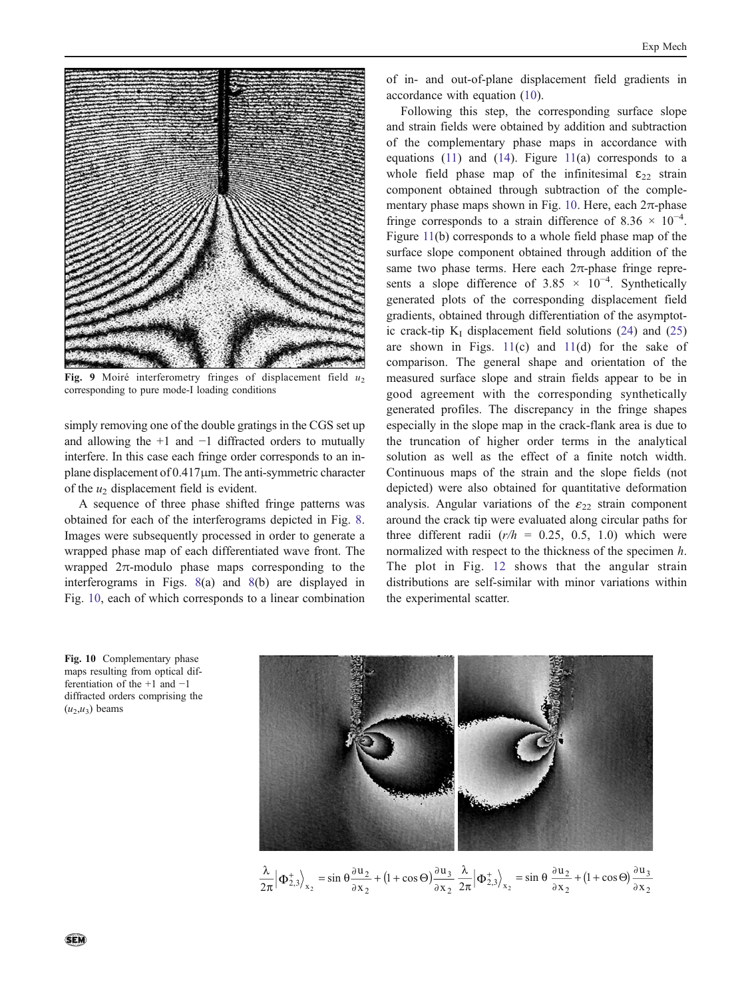<span id="page-9-0"></span>

Fig. 9 Moiré interferometry fringes of displacement field  $u_2$ corresponding to pure mode-I loading conditions

simply removing one of the double gratings in the CGS set up and allowing the +1 and −1 diffracted orders to mutually interfere. In this case each fringe order corresponds to an inplane displacement of 0.417μm. The anti-symmetric character of the  $u_2$  displacement field is evident.

A sequence of three phase shifted fringe patterns was obtained for each of the interferograms depicted in Fig. [8.](#page-8-0) Images were subsequently processed in order to generate a wrapped phase map of each differentiated wave front. The wrapped  $2\pi$ -modulo phase maps corresponding to the interferograms in Figs. [8](#page-8-0)(a) and [8\(](#page-8-0)b) are displayed in Fig. 10, each of which corresponds to a linear combination

of in- and out-of-plane displacement field gradients in accordance with equation [\(10](#page-4-0)).

Following this step, the corresponding surface slope and strain fields were obtained by addition and subtraction of the complementary phase maps in accordance with equations  $(11)$  $(11)$  and  $(14)$  $(14)$ . Figure  $11(a)$  $11(a)$  corresponds to a whole field phase map of the infinitesimal  $\epsilon_{22}$  strain component obtained through subtraction of the complementary phase maps shown in Fig. 10. Here, each  $2\pi$ -phase fringe corresponds to a strain difference of 8.36  $\times$  10<sup>-4</sup>. Figure [11\(](#page-10-0)b) corresponds to a whole field phase map of the surface slope component obtained through addition of the same two phase terms. Here each  $2\pi$ -phase fringe represents a slope difference of 3.85  $\times$  10<sup>-4</sup>. Synthetically generated plots of the corresponding displacement field gradients, obtained through differentiation of the asymptotic crack-tip  $K_I$  displacement field solutions ([24\)](#page-7-0) and [\(25](#page-7-0)) are shown in Figs.  $11(c)$  $11(c)$  and  $11(d)$  $11(d)$  for the sake of comparison. The general shape and orientation of the measured surface slope and strain fields appear to be in good agreement with the corresponding synthetically generated profiles. The discrepancy in the fringe shapes especially in the slope map in the crack-flank area is due to the truncation of higher order terms in the analytical solution as well as the effect of a finite notch width. Continuous maps of the strain and the slope fields (not depicted) were also obtained for quantitative deformation analysis. Angular variations of the  $\varepsilon_{22}$  strain component around the crack tip were evaluated along circular paths for three different radii  $(r/h = 0.25, 0.5, 1.0)$  which were normalized with respect to the thickness of the specimen  $h$ . The plot in Fig. [12](#page-10-0) shows that the angular strain distributions are self-similar with minor variations within the experimental scatter.

Fig. 10 Complementary phase maps resulting from optical differentiation of the +1 and −1 diffracted orders comprising the  $(u_2,u_3)$  beams



 $(1 + \cos \Theta)$ 2 3 2  $\frac{\lambda}{2\pi} \left| \Phi_{2,3}^+ \right\rangle_{x_2} = \sin \theta \frac{\partial u_2}{\partial x_2} + (1 + \cos \Theta) \frac{\partial u_3}{\partial x_2} \frac{\lambda}{2\pi} \left| \Phi_{2,3}^+ \right\rangle_{x_2} = \sin \theta \frac{\partial u_2}{\partial x_2} + (1 + \cos \Theta) \frac{\partial u_3}{\partial x_2}$ 3 2  $\left\langle \frac{1}{2,3} \right\rangle_{x_2} = \sin \theta \frac{\partial u_2}{\partial x_2} + (1 + \cos \Theta) \frac{\partial u_2}{\partial x_2}$  $\frac{\lambda}{2\pi} \left| \Phi_{2,3}^+ \right\rangle_{\mathbf{x}_2} = \sin \theta \, \frac{\partial \mathbf{u}_2}{\partial \mathbf{x}_2} + (1 + \cos \Theta) \frac{\partial \mathbf{u}_2}{\partial \mathbf{x}_2}$  $\frac{\lambda}{2}|\Phi_2^+|$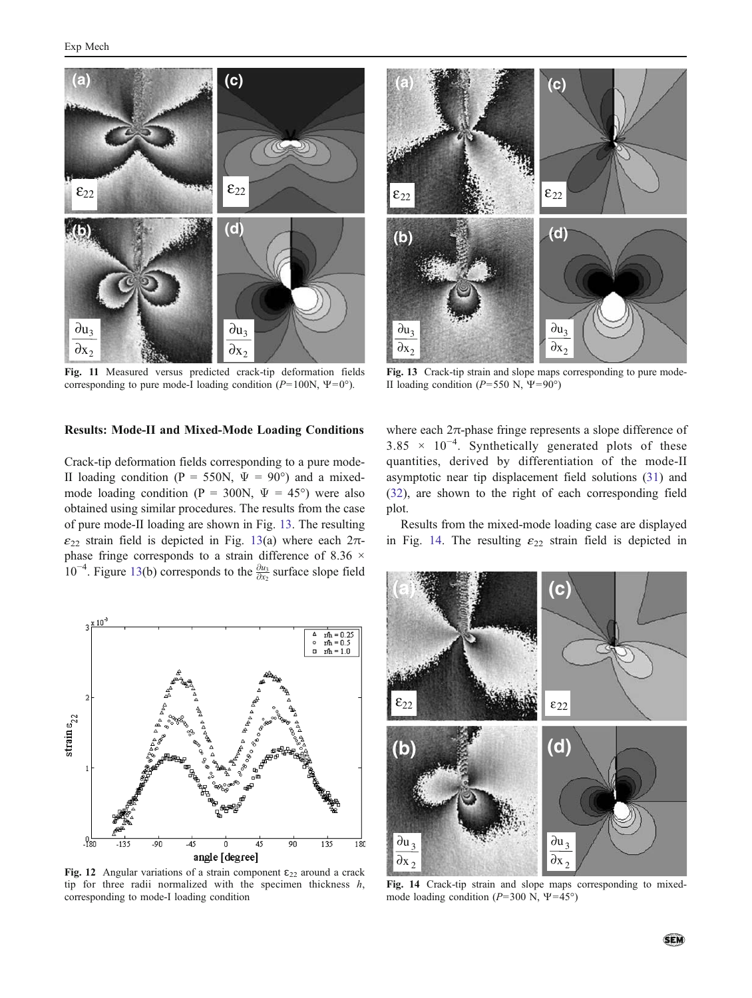<span id="page-10-0"></span>

Fig. 11 Measured versus predicted crack-tip deformation fields corresponding to pure mode-I loading condition ( $P=100N$ ,  $\Psi=0^{\circ}$ ).

# Results: Mode-II and Mixed-Mode Loading Conditions

Crack-tip deformation fields corresponding to a pure mode-II loading condition (P = 550N,  $\Psi = 90^{\circ}$ ) and a mixedmode loading condition (P = 300N,  $\Psi = 45^{\circ}$ ) were also obtained using similar procedures. The results from the case of pure mode-II loading are shown in Fig. 13. The resulting  $\varepsilon_{22}$  strain field is depicted in Fig. 13(a) where each  $2\pi$ phase fringe corresponds to a strain difference of 8.36 ×  $10^{-4}$ . Figure 13(b) corresponds to the  $\frac{\partial u_3}{\partial x_2}$  surface slope field



Fig. 12 Angular variations of a strain component  $\epsilon_{22}$  around a crack tip for three radii normalized with the specimen thickness h, corresponding to mode-I loading condition



Fig. 13 Crack-tip strain and slope maps corresponding to pure mode-II loading condition ( $P=550$  N,  $\Psi=90^{\circ}$ )

where each  $2\pi$ -phase fringe represents a slope difference of 3.85 × 10−<sup>4</sup> . Synthetically generated plots of these quantities, derived by differentiation of the mode-II asymptotic near tip displacement field solutions [\(31](#page-7-0)) and [\(32](#page-7-0)), are shown to the right of each corresponding field plot.

Results from the mixed-mode loading case are displayed in Fig. 14. The resulting  $\varepsilon_{22}$  strain field is depicted in



Fig. 14 Crack-tip strain and slope maps corresponding to mixedmode loading condition ( $P=300$  N,  $\Psi=45^{\circ}$ )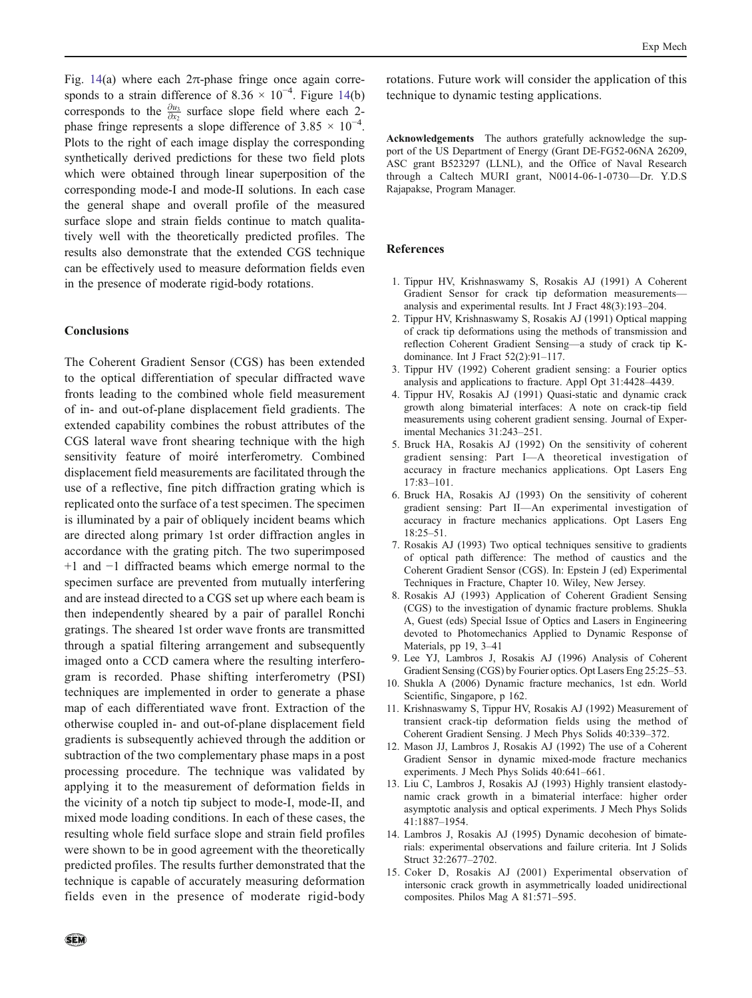<span id="page-11-0"></span>Fig. [14](#page-10-0)(a) where each  $2\pi$ -phase fringe once again corresponds to a strain difference of 8.36  $\times$  10<sup>-4</sup>. Figure [14\(](#page-10-0)b) corresponds to the  $\frac{\partial u_3}{\partial x_2}$  surface slope field where each 2phase fringe represents a slope difference of 3.85  $\times$  10<sup>-4</sup>. Plots to the right of each image display the corresponding synthetically derived predictions for these two field plots which were obtained through linear superposition of the corresponding mode-I and mode-II solutions. In each case the general shape and overall profile of the measured surface slope and strain fields continue to match qualitatively well with the theoretically predicted profiles. The results also demonstrate that the extended CGS technique can be effectively used to measure deformation fields even in the presence of moderate rigid-body rotations.

# Conclusions

The Coherent Gradient Sensor (CGS) has been extended to the optical differentiation of specular diffracted wave fronts leading to the combined whole field measurement of in- and out-of-plane displacement field gradients. The extended capability combines the robust attributes of the CGS lateral wave front shearing technique with the high sensitivity feature of moiré interferometry. Combined displacement field measurements are facilitated through the use of a reflective, fine pitch diffraction grating which is replicated onto the surface of a test specimen. The specimen is illuminated by a pair of obliquely incident beams which are directed along primary 1st order diffraction angles in accordance with the grating pitch. The two superimposed +1 and −1 diffracted beams which emerge normal to the specimen surface are prevented from mutually interfering and are instead directed to a CGS set up where each beam is then independently sheared by a pair of parallel Ronchi gratings. The sheared 1st order wave fronts are transmitted through a spatial filtering arrangement and subsequently imaged onto a CCD camera where the resulting interferogram is recorded. Phase shifting interferometry (PSI) techniques are implemented in order to generate a phase map of each differentiated wave front. Extraction of the otherwise coupled in- and out-of-plane displacement field gradients is subsequently achieved through the addition or subtraction of the two complementary phase maps in a post processing procedure. The technique was validated by applying it to the measurement of deformation fields in the vicinity of a notch tip subject to mode-I, mode-II, and mixed mode loading conditions. In each of these cases, the resulting whole field surface slope and strain field profiles were shown to be in good agreement with the theoretically predicted profiles. The results further demonstrated that the technique is capable of accurately measuring deformation fields even in the presence of moderate rigid-body

rotations. Future work will consider the application of this technique to dynamic testing applications.

Acknowledgements The authors gratefully acknowledge the support of the US Department of Energy (Grant DE-FG52-06NA 26209, ASC grant B523297 (LLNL), and the Office of Naval Research through a Caltech MURI grant, N0014-06-1-0730—Dr. Y.D.S Rajapakse, Program Manager.

# References

- 1. Tippur HV, Krishnaswamy S, Rosakis AJ (1991) A Coherent Gradient Sensor for crack tip deformation measurements analysis and experimental results. Int J Fract 48(3):193–204.
- 2. Tippur HV, Krishnaswamy S, Rosakis AJ (1991) Optical mapping of crack tip deformations using the methods of transmission and reflection Coherent Gradient Sensing—a study of crack tip Kdominance. Int J Fract 52(2):91–117.
- 3. Tippur HV (1992) Coherent gradient sensing: a Fourier optics analysis and applications to fracture. Appl Opt 31:4428–4439.
- 4. Tippur HV, Rosakis AJ (1991) Quasi-static and dynamic crack growth along bimaterial interfaces: A note on crack-tip field measurements using coherent gradient sensing. Journal of Experimental Mechanics 31:243–251.
- 5. Bruck HA, Rosakis AJ (1992) On the sensitivity of coherent gradient sensing: Part I—A theoretical investigation of accuracy in fracture mechanics applications. Opt Lasers Eng 17:83–101.
- 6. Bruck HA, Rosakis AJ (1993) On the sensitivity of coherent gradient sensing: Part II—An experimental investigation of accuracy in fracture mechanics applications. Opt Lasers Eng 18:25–51.
- 7. Rosakis AJ (1993) Two optical techniques sensitive to gradients of optical path difference: The method of caustics and the Coherent Gradient Sensor (CGS). In: Epstein J (ed) Experimental Techniques in Fracture, Chapter 10. Wiley, New Jersey.
- 8. Rosakis AJ (1993) Application of Coherent Gradient Sensing (CGS) to the investigation of dynamic fracture problems. Shukla A, Guest (eds) Special Issue of Optics and Lasers in Engineering devoted to Photomechanics Applied to Dynamic Response of Materials, pp 19, 3–41
- 9. Lee YJ, Lambros J, Rosakis AJ (1996) Analysis of Coherent Gradient Sensing (CGS) by Fourier optics. Opt Lasers Eng 25:25–53.
- 10. Shukla A (2006) Dynamic fracture mechanics, 1st edn. World Scientific, Singapore, p 162.
- 11. Krishnaswamy S, Tippur HV, Rosakis AJ (1992) Measurement of transient crack-tip deformation fields using the method of Coherent Gradient Sensing. J Mech Phys Solids 40:339–372.
- 12. Mason JJ, Lambros J, Rosakis AJ (1992) The use of a Coherent Gradient Sensor in dynamic mixed-mode fracture mechanics experiments. J Mech Phys Solids 40:641–661.
- 13. Liu C, Lambros J, Rosakis AJ (1993) Highly transient elastodynamic crack growth in a bimaterial interface: higher order asymptotic analysis and optical experiments. J Mech Phys Solids 41:1887–1954.
- 14. Lambros J, Rosakis AJ (1995) Dynamic decohesion of bimaterials: experimental observations and failure criteria. Int J Solids Struct 32:2677–2702.
- 15. Coker D, Rosakis AJ (2001) Experimental observation of intersonic crack growth in asymmetrically loaded unidirectional composites. Philos Mag A 81:571–595.